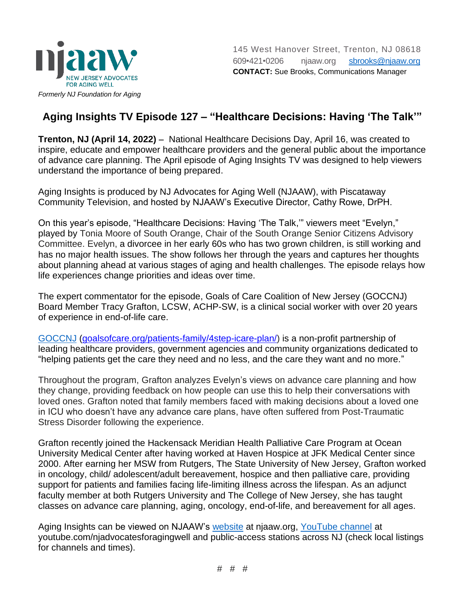

## **Aging Insights TV Episode 127 – "Healthcare Decisions: Having 'The Talk'"**

**Trenton, NJ (April 14, 2022)** − National Healthcare Decisions Day, April 16, was created to inspire, educate and empower healthcare providers and the general public about the importance of advance care planning. The April episode of Aging Insights TV was designed to help viewers understand the importance of being prepared.

Aging Insights is produced by NJ Advocates for Aging Well (NJAAW), with Piscataway Community Television, and hosted by NJAAW's Executive Director, Cathy Rowe, DrPH.

On this year's episode, "Healthcare Decisions: Having 'The Talk,'" viewers meet "Evelyn," played by Tonia Moore of South Orange, Chair of the South Orange Senior Citizens Advisory Committee. Evelyn, a divorcee in her early 60s who has two grown children, is still working and has no major health issues. The show follows her through the years and captures her thoughts about planning ahead at various stages of aging and health challenges. The episode relays how life experiences change priorities and ideas over time.

The expert commentator for the episode, Goals of Care Coalition of New Jersey (GOCCNJ) Board Member Tracy Grafton, LCSW, ACHP-SW, is a clinical social worker with over 20 years of experience in end-of-life care.

[GOCCNJ](goalsofcare.org/patients-family/4step-icare-plan/) [\(goalsofcare.org/patients-family/4step-icare-plan/\)](https://goalsofcare.org/patients-family/4step-icare-plan/) is a non-profit partnership of leading healthcare providers, government agencies and community organizations dedicated to "helping patients get the care they need and no less, and the care they want and no more."

Throughout the program, Grafton analyzes Evelyn's views on advance care planning and how they change, providing feedback on how people can use this to help their conversations with loved ones. Grafton noted that family members faced with making decisions about a loved one in ICU who doesn't have any advance care plans, have often suffered from Post-Traumatic Stress Disorder following the experience.

Grafton recently joined the Hackensack Meridian Health Palliative Care Program at Ocean University Medical Center after having worked at Haven Hospice at JFK Medical Center since 2000. After earning her MSW from Rutgers, The State University of New Jersey, Grafton worked in oncology, child/ adolescent/adult bereavement, hospice and then palliative care, providing support for patients and families facing life-limiting illness across the lifespan. As an adjunct faculty member at both Rutgers University and The College of New Jersey, she has taught classes on advance care planning, aging, oncology, end-of-life, and bereavement for all ages.

Aging Insights can be viewed on NJAAW's [website](http://njaaw.org/) at njaaw.org, [YouTube channel](http://youtube.com/njadvocatesforagingwell) at youtube.com/njadvocatesforagingwell and public-access stations across NJ (check local listings for channels and times).